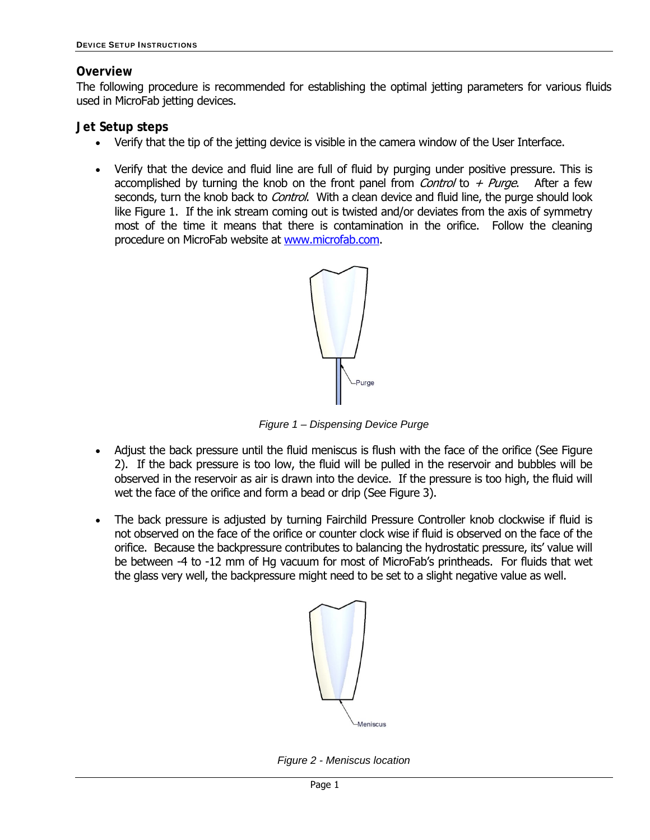## **Overview**

The following procedure is recommended for establishing the optimal jetting parameters for various fluids used in MicroFab jetting devices.

# **Jet Setup steps**

- Verify that the tip of the jetting device is visible in the camera window of the User Interface.
- Verify that the device and fluid line are full of fluid by purging under positive pressure. This is accomplished by turning the knob on the front panel from *Control* to  $+$  *Purge.* After a few seconds, turn the knob back to *Control*. With a clean device and fluid line, the purge should look like Figure 1. If the ink stream coming out is twisted and/or deviates from the axis of symmetry most of the time it means that there is contamination in the orifice. Follow the cleaning procedure on MicroFab website at www.microfab.com.



*Figure 1 – Dispensing Device Purge* 

- Adjust the back pressure until the fluid meniscus is flush with the face of the orifice (See Figure 2). If the back pressure is too low, the fluid will be pulled in the reservoir and bubbles will be observed in the reservoir as air is drawn into the device. If the pressure is too high, the fluid will wet the face of the orifice and form a bead or drip (See Figure 3).
- The back pressure is adjusted by turning Fairchild Pressure Controller knob clockwise if fluid is not observed on the face of the orifice or counter clock wise if fluid is observed on the face of the orifice. Because the backpressure contributes to balancing the hydrostatic pressure, its' value will be between -4 to -12 mm of Hg vacuum for most of MicroFab's printheads. For fluids that wet the glass very well, the backpressure might need to be set to a slight negative value as well.



*Figure 2 - Meniscus location*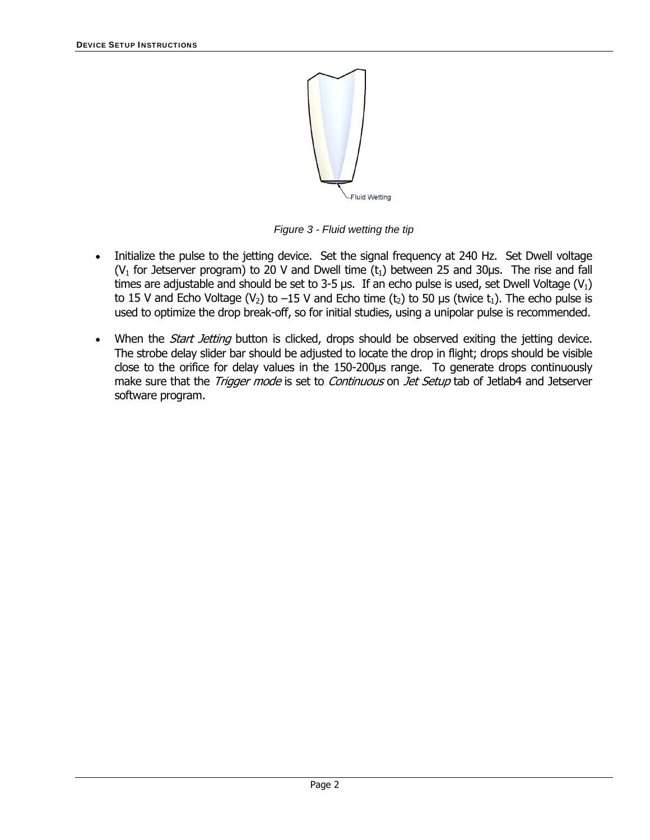

*Figure 3 - Fluid wetting the tip* 

- Initialize the pulse to the jetting device. Set the signal frequency at 240 Hz. Set Dwell voltage (V<sub>1</sub> for Jetserver program) to 20 V and Dwell time ( $t_1$ ) between 25 and 30 $\mu$ s. The rise and fall times are adjustable and should be set to 3-5 μs. If an echo pulse is used, set Dwell Voltage (V<sub>1</sub>) to 15 V and Echo Voltage (V<sub>2</sub>) to –15 V and Echo time (t<sub>2</sub>) to 50 μs (twice t<sub>1</sub>). The echo pulse is used to optimize the drop break-off, so for initial studies, using a unipolar pulse is recommended.
- When the *Start Jetting* button is clicked, drops should be observed exiting the jetting device. The strobe delay slider bar should be adjusted to locate the drop in flight; drops should be visible close to the orifice for delay values in the 150-200μs range. To generate drops continuously make sure that the *Trigger mode* is set to *Continuous* on *Jet Setup* tab of Jetlab4 and Jetserver software program.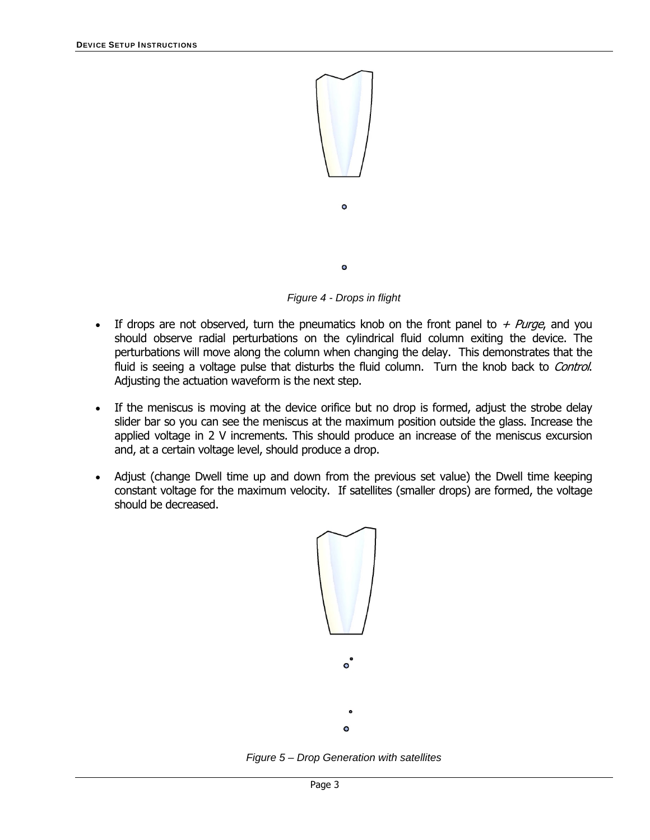

*Figure 4 - Drops in flight* 

- If drops are not observed, turn the pneumatics knob on the front panel to  $+$  Purge, and you should observe radial perturbations on the cylindrical fluid column exiting the device. The perturbations will move along the column when changing the delay. This demonstrates that the fluid is seeing a voltage pulse that disturbs the fluid column. Turn the knob back to Control. Adjusting the actuation waveform is the next step.
- If the meniscus is moving at the device orifice but no drop is formed, adjust the strobe delay slider bar so you can see the meniscus at the maximum position outside the glass. Increase the applied voltage in 2 V increments. This should produce an increase of the meniscus excursion and, at a certain voltage level, should produce a drop.
- Adjust (change Dwell time up and down from the previous set value) the Dwell time keeping constant voltage for the maximum velocity. If satellites (smaller drops) are formed, the voltage should be decreased.



*Figure 5 – Drop Generation with satellites*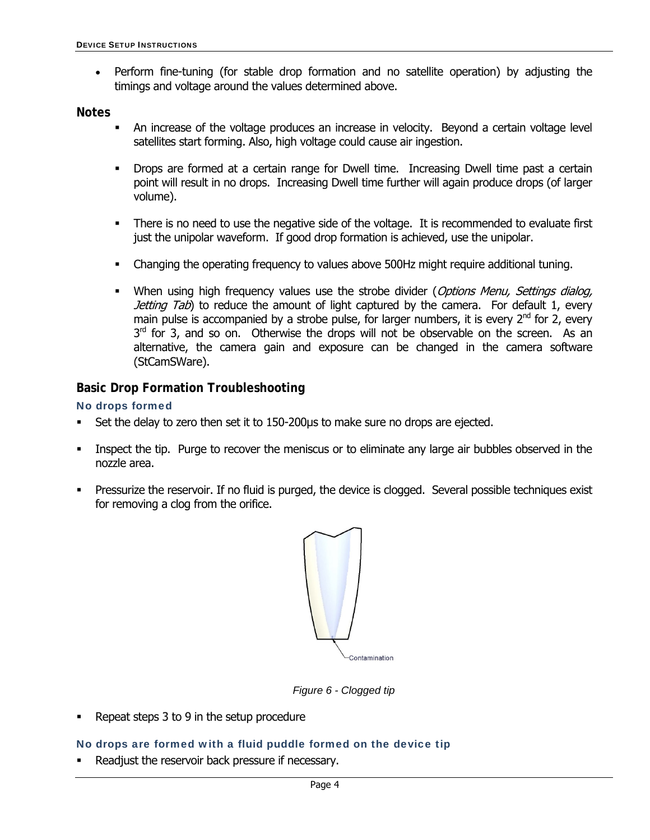Perform fine-tuning (for stable drop formation and no satellite operation) by adjusting the timings and voltage around the values determined above.

**Notes** 

- An increase of the voltage produces an increase in velocity. Beyond a certain voltage level satellites start forming. Also, high voltage could cause air ingestion.
- Drops are formed at a certain range for Dwell time. Increasing Dwell time past a certain point will result in no drops. Increasing Dwell time further will again produce drops (of larger volume).
- There is no need to use the negative side of the voltage. It is recommended to evaluate first just the unipolar waveform. If good drop formation is achieved, use the unipolar.
- Changing the operating frequency to values above 500Hz might require additional tuning.
- When using high frequency values use the strobe divider (Options Menu, Settings dialog, Jetting Tab) to reduce the amount of light captured by the camera. For default 1, every main pulse is accompanied by a strobe pulse, for larger numbers, it is every  $2^{nd}$  for 2, every  $3<sup>rd</sup>$  for 3, and so on. Otherwise the drops will not be observable on the screen. As an alternative, the camera gain and exposure can be changed in the camera software (StCamSWare).

### **Basic Drop Formation Troubleshooting**

#### No drops formed

- Set the delay to zero then set it to 150-200μs to make sure no drops are ejected.
- Inspect the tip. Purge to recover the meniscus or to eliminate any large air bubbles observed in the nozzle area.
- Pressurize the reservoir. If no fluid is purged, the device is clogged. Several possible techniques exist for removing a clog from the orifice.



*Figure 6 - Clogged tip* 

Repeat steps 3 to 9 in the setup procedure

#### No drops are formed with a fluid puddle formed on the device tip

Readjust the reservoir back pressure if necessary.